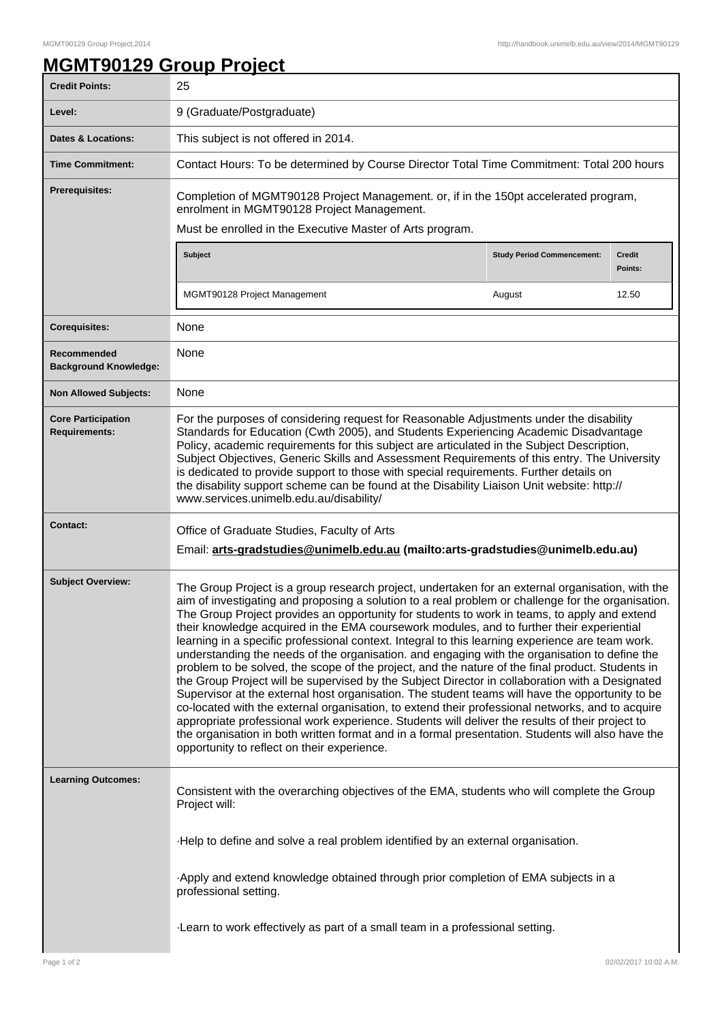## **MGMT90129 Group Project**

| <b>Credit Points:</b>                             | 25                                                                                                                                                                                                                                                                                                                                                                                                                                                                                                                                                                                                                                                                                                                                                                                                                                                                                                                                                                                                                                                                                                                                                                                                                                                                            |                                   |                          |
|---------------------------------------------------|-------------------------------------------------------------------------------------------------------------------------------------------------------------------------------------------------------------------------------------------------------------------------------------------------------------------------------------------------------------------------------------------------------------------------------------------------------------------------------------------------------------------------------------------------------------------------------------------------------------------------------------------------------------------------------------------------------------------------------------------------------------------------------------------------------------------------------------------------------------------------------------------------------------------------------------------------------------------------------------------------------------------------------------------------------------------------------------------------------------------------------------------------------------------------------------------------------------------------------------------------------------------------------|-----------------------------------|--------------------------|
| Level:                                            | 9 (Graduate/Postgraduate)                                                                                                                                                                                                                                                                                                                                                                                                                                                                                                                                                                                                                                                                                                                                                                                                                                                                                                                                                                                                                                                                                                                                                                                                                                                     |                                   |                          |
| <b>Dates &amp; Locations:</b>                     | This subject is not offered in 2014.                                                                                                                                                                                                                                                                                                                                                                                                                                                                                                                                                                                                                                                                                                                                                                                                                                                                                                                                                                                                                                                                                                                                                                                                                                          |                                   |                          |
| <b>Time Commitment:</b>                           | Contact Hours: To be determined by Course Director Total Time Commitment: Total 200 hours                                                                                                                                                                                                                                                                                                                                                                                                                                                                                                                                                                                                                                                                                                                                                                                                                                                                                                                                                                                                                                                                                                                                                                                     |                                   |                          |
| Prerequisites:                                    | Completion of MGMT90128 Project Management. or, if in the 150pt accelerated program,<br>enrolment in MGMT90128 Project Management.<br>Must be enrolled in the Executive Master of Arts program.                                                                                                                                                                                                                                                                                                                                                                                                                                                                                                                                                                                                                                                                                                                                                                                                                                                                                                                                                                                                                                                                               |                                   |                          |
|                                                   | Subject                                                                                                                                                                                                                                                                                                                                                                                                                                                                                                                                                                                                                                                                                                                                                                                                                                                                                                                                                                                                                                                                                                                                                                                                                                                                       | <b>Study Period Commencement:</b> | <b>Credit</b><br>Points: |
|                                                   | MGMT90128 Project Management                                                                                                                                                                                                                                                                                                                                                                                                                                                                                                                                                                                                                                                                                                                                                                                                                                                                                                                                                                                                                                                                                                                                                                                                                                                  | August                            | 12.50                    |
| <b>Corequisites:</b>                              | None                                                                                                                                                                                                                                                                                                                                                                                                                                                                                                                                                                                                                                                                                                                                                                                                                                                                                                                                                                                                                                                                                                                                                                                                                                                                          |                                   |                          |
| Recommended<br><b>Background Knowledge:</b>       | None                                                                                                                                                                                                                                                                                                                                                                                                                                                                                                                                                                                                                                                                                                                                                                                                                                                                                                                                                                                                                                                                                                                                                                                                                                                                          |                                   |                          |
| <b>Non Allowed Subjects:</b>                      | None                                                                                                                                                                                                                                                                                                                                                                                                                                                                                                                                                                                                                                                                                                                                                                                                                                                                                                                                                                                                                                                                                                                                                                                                                                                                          |                                   |                          |
| <b>Core Participation</b><br><b>Requirements:</b> | For the purposes of considering request for Reasonable Adjustments under the disability<br>Standards for Education (Cwth 2005), and Students Experiencing Academic Disadvantage<br>Policy, academic requirements for this subject are articulated in the Subject Description,<br>Subject Objectives, Generic Skills and Assessment Requirements of this entry. The University<br>is dedicated to provide support to those with special requirements. Further details on<br>the disability support scheme can be found at the Disability Liaison Unit website: http://<br>www.services.unimelb.edu.au/disability/                                                                                                                                                                                                                                                                                                                                                                                                                                                                                                                                                                                                                                                              |                                   |                          |
| <b>Contact:</b>                                   | Office of Graduate Studies, Faculty of Arts<br>Email: arts-gradstudies@unimelb.edu.au (mailto:arts-gradstudies@unimelb.edu.au)                                                                                                                                                                                                                                                                                                                                                                                                                                                                                                                                                                                                                                                                                                                                                                                                                                                                                                                                                                                                                                                                                                                                                |                                   |                          |
| <b>Subject Overview:</b>                          | The Group Project is a group research project, undertaken for an external organisation, with the<br>aim of investigating and proposing a solution to a real problem or challenge for the organisation.<br>The Group Project provides an opportunity for students to work in teams, to apply and extend<br>their knowledge acquired in the EMA coursework modules, and to further their experiential<br>learning in a specific professional context. Integral to this learning experience are team work.<br>understanding the needs of the organisation. and engaging with the organisation to define the<br>problem to be solved, the scope of the project, and the nature of the final product. Students in<br>the Group Project will be supervised by the Subject Director in collaboration with a Designated<br>Supervisor at the external host organisation. The student teams will have the opportunity to be<br>co-located with the external organisation, to extend their professional networks, and to acquire<br>appropriate professional work experience. Students will deliver the results of their project to<br>the organisation in both written format and in a formal presentation. Students will also have the<br>opportunity to reflect on their experience. |                                   |                          |
| <b>Learning Outcomes:</b>                         | Consistent with the overarching objectives of the EMA, students who will complete the Group<br>Project will:                                                                                                                                                                                                                                                                                                                                                                                                                                                                                                                                                                                                                                                                                                                                                                                                                                                                                                                                                                                                                                                                                                                                                                  |                                   |                          |
|                                                   | Help to define and solve a real problem identified by an external organisation.                                                                                                                                                                                                                                                                                                                                                                                                                                                                                                                                                                                                                                                                                                                                                                                                                                                                                                                                                                                                                                                                                                                                                                                               |                                   |                          |
|                                                   | -Apply and extend knowledge obtained through prior completion of EMA subjects in a<br>professional setting.                                                                                                                                                                                                                                                                                                                                                                                                                                                                                                                                                                                                                                                                                                                                                                                                                                                                                                                                                                                                                                                                                                                                                                   |                                   |                          |
|                                                   | -Learn to work effectively as part of a small team in a professional setting.                                                                                                                                                                                                                                                                                                                                                                                                                                                                                                                                                                                                                                                                                                                                                                                                                                                                                                                                                                                                                                                                                                                                                                                                 |                                   |                          |